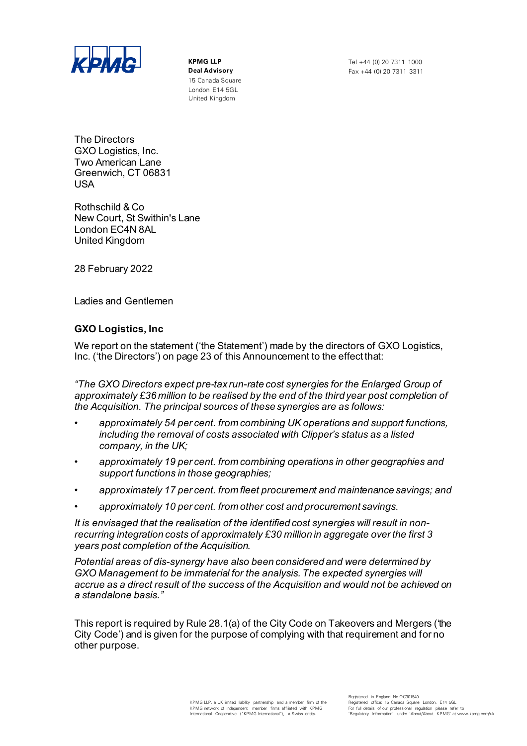

15 Canada Square London E14 5GL United Kingdom

**Deal Advisory** Fax +44 (0) 20 7311 3311

The Directors GXO Logistics, Inc. Two American Lane Greenwich, CT 06831 USA

Rothschild & Co New Court, St Swithin's Lane London EC4N 8AL United Kingdom

28 February 2022

Ladies and Gentlemen

## **GXO Logistics, Inc**

We report on the statement ('the Statement') made by the directors of GXO Logistics, Inc. ('the Directors') on page 23 of this Announcement to the effect that:

*"The GXO Directors expect pre-tax run-rate cost synergies for the Enlarged Group of approximately £36 million to be realised by the end of the third year post completion of the Acquisition. The principal sources of these synergies are as follows:*

- *• approximately 54 per cent. from combining UK operations and support functions, including the removal of costs associated with Clipper's status as a listed company, in the UK;*
- *• approximately 19 per cent. from combining operations in other geographies and support functions in those geographies;*
- *• approximately 17 per cent. from fleet procurement and maintenance savings; and*
- *• approximately 10 per cent. from other cost and procurement savings.*

*It is envisaged that the realisation of the identified cost synergies will result in nonrecurring integration costs of approximately £30 million in aggregate over the first 3 years post completion of the Acquisition.*

*Potential areas of dis-synergy have also been considered and were determined by*  GXO Management to be immaterial for the analysis. The expected synergies will *accrue as a direct result of the success of the Acquisition and would not be achieved on a standalone basis."*

This report is required by Rule 28.1(a) of the City Code on Takeovers and Mergers ('the City Code') and is given for the purpose of complying with that requirement and for no other purpose.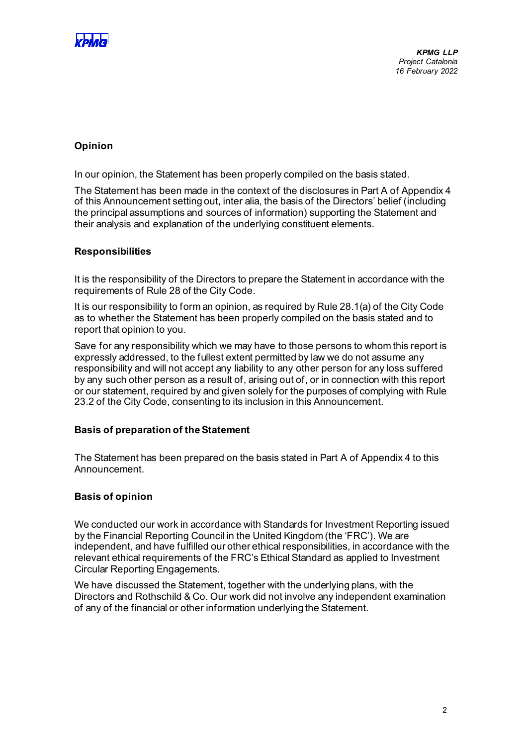

# **Opinion**

In our opinion, the Statement has been properly compiled on the basis stated.

The Statement has been made in the context of the disclosures in Part A of Appendix 4 of this Announcement setting out, inter alia, the basis of the Directors' belief (including the principal assumptions and sources of information) supporting the Statement and their analysis and explanation of the underlying constituent elements.

### **Responsibilities**

It is the responsibility of the Directors to prepare the Statement in accordance with the requirements of Rule 28 of the City Code.

It is our responsibility to form an opinion, as required by Rule 28.1(a) of the City Code as to whether the Statement has been properly compiled on the basis stated and to report that opinion to you.

Save for any responsibility which we may have to those persons to whom this report is expressly addressed, to the fullest extent permitted by law we do not assume any responsibility and will not accept any liability to any other person for any loss suffered by any such other person as a result of, arising out of, or in connection with this report or our statement, required by and given solely for the purposes of complying with Rule 23.2 of the City Code, consenting to its inclusion in this Announcement.

### **Basis of preparation of the Statement**

The Statement has been prepared on the basis stated in Part A of Appendix 4 to this Announcement.

### **Basis of opinion**

We conducted our work in accordance with Standards for Investment Reporting issued by the Financial Reporting Council in the United Kingdom (the 'FRC'). We are independent, and have fulfilled our other ethical responsibilities, in accordance with the relevant ethical requirements of the FRC's Ethical Standard as applied to Investment Circular Reporting Engagements.

We have discussed the Statement, together with the underlying plans, with the Directors and Rothschild & Co. Our work did not involve any independent examination of any of the financial or other information underlying the Statement.